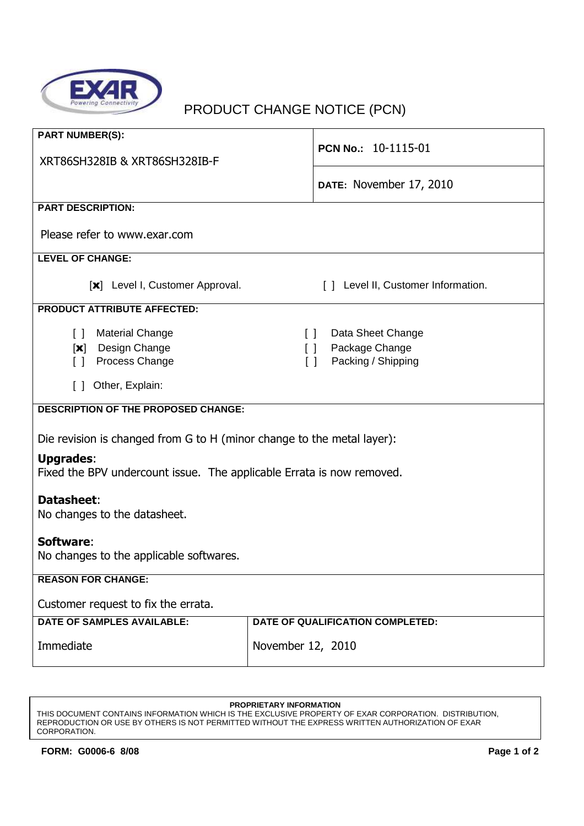

## PRODUCT CHANGE NOTICE (PCN)

| <b>PART NUMBER(S):</b><br>XRT86SH328IB & XRT86SH328IB-F                                                    | PCN No.: 10-1115-01                                                                 |  |
|------------------------------------------------------------------------------------------------------------|-------------------------------------------------------------------------------------|--|
|                                                                                                            | DATE: November 17, 2010                                                             |  |
| <b>PART DESCRIPTION:</b>                                                                                   |                                                                                     |  |
| Please refer to www.exar.com                                                                               |                                                                                     |  |
| <b>LEVEL OF CHANGE:</b>                                                                                    |                                                                                     |  |
| [x] Level I, Customer Approval.                                                                            | [ ] Level II, Customer Information.                                                 |  |
| <b>PRODUCT ATTRIBUTE AFFECTED:</b>                                                                         |                                                                                     |  |
| <b>Material Change</b><br>$\lceil$ $\rceil$<br>Design Change<br>$[\mathbf{x}]$<br>Process Change<br>$\Box$ | Data Sheet Change<br>$\Box$<br>Package Change<br>$\Box$<br>Packing / Shipping<br>ΙI |  |
| Other, Explain:<br>$\Box$                                                                                  |                                                                                     |  |
| <b>DESCRIPTION OF THE PROPOSED CHANGE:</b>                                                                 |                                                                                     |  |
| Die revision is changed from G to H (minor change to the metal layer):                                     |                                                                                     |  |
| <b>Upgrades:</b><br>Fixed the BPV undercount issue. The applicable Errata is now removed.                  |                                                                                     |  |
| Datasheet:<br>No changes to the datasheet.                                                                 |                                                                                     |  |
| Software:<br>No changes to the applicable softwares.                                                       |                                                                                     |  |
| <b>REASON FOR CHANGE:</b>                                                                                  |                                                                                     |  |
| Customer request to fix the errata.                                                                        |                                                                                     |  |
| <b>DATE OF SAMPLES AVAILABLE:</b>                                                                          | DATE OF QUALIFICATION COMPLETED:                                                    |  |
| Immediate                                                                                                  | November 12, 2010                                                                   |  |

## **PROPRIETARY INFORMATION**

THIS DOCUMENT CONTAINS INFORMATION WHICH IS THE EXCLUSIVE PROPERTY OF EXAR CORPORATION. DISTRIBUTION, REPRODUCTION OR USE BY OTHERS IS NOT PERMITTED WITHOUT THE EXPRESS WRITTEN AUTHORIZATION OF EXAR CORPORATION.